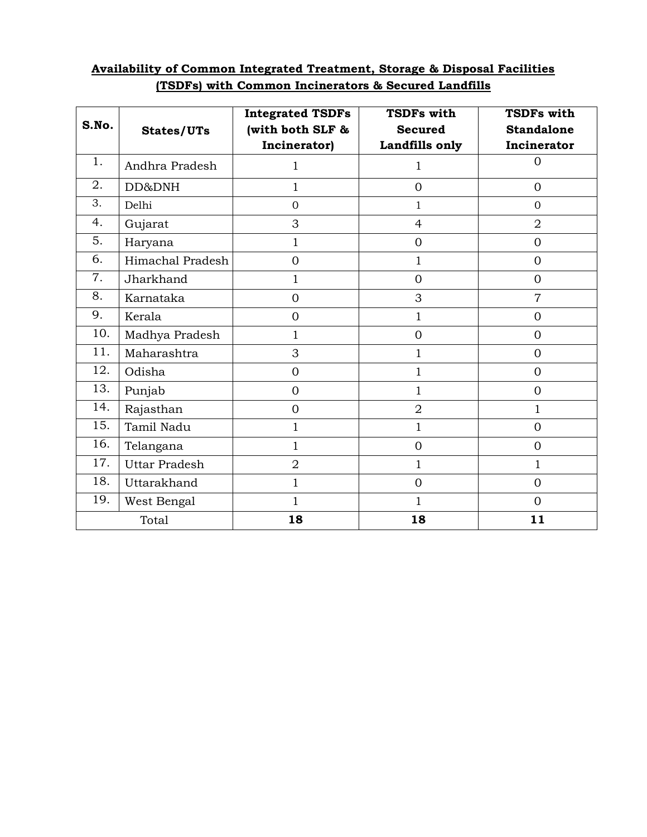|  | Availability of Common Integrated Treatment, Storage & Disposal Facilities |  |
|--|----------------------------------------------------------------------------|--|
|  | (TSDFs) with Common Incinerators & Secured Landfills                       |  |

| S.No. | States/UTs           | <b>Integrated TSDFs</b><br>(with both SLF &<br>Incinerator) | <b>TSDFs with</b><br><b>Secured</b><br>Landfills only | <b>TSDFs with</b><br><b>Standalone</b><br>Incinerator |
|-------|----------------------|-------------------------------------------------------------|-------------------------------------------------------|-------------------------------------------------------|
| 1.    | Andhra Pradesh       | $\mathbf{1}$                                                | 1                                                     | $\overline{0}$                                        |
| 2.    | DD&DNH               | 1                                                           | $\overline{O}$                                        | $\overline{0}$                                        |
| 3.    | Delhi                | $\overline{0}$                                              | $\mathbf 1$                                           | $\overline{0}$                                        |
| 4.    | Gujarat              | 3                                                           | $\overline{4}$                                        | $\overline{2}$                                        |
| 5.    | Haryana              | $\mathbf 1$                                                 | $\overline{0}$                                        | $\overline{0}$                                        |
| 6.    | Himachal Pradesh     | $\overline{0}$                                              | 1                                                     | $\overline{0}$                                        |
| 7.    | Jharkhand            | 1                                                           | $\overline{0}$                                        | $\overline{0}$                                        |
| 8.    | Karnataka            | $\overline{0}$                                              | 3                                                     | $\overline{7}$                                        |
| 9.    | Kerala               | $\overline{0}$                                              | 1                                                     | $\overline{0}$                                        |
| 10.   | Madhya Pradesh       | 1                                                           | $\overline{0}$                                        | $\overline{0}$                                        |
| 11.   | Maharashtra          | 3                                                           | 1                                                     | $\overline{0}$                                        |
| 12.   | Odisha               | $\overline{0}$                                              | 1                                                     | $\overline{0}$                                        |
| 13.   | Punjab               | $\Omega$                                                    | 1                                                     | $\overline{0}$                                        |
| 14.   | Rajasthan            | $\overline{0}$                                              | $\overline{2}$                                        | 1                                                     |
| 15.   | Tamil Nadu           | $\overline{1}$                                              | 1                                                     | $\overline{0}$                                        |
| 16.   | Telangana            | $\mathbf{1}$                                                | $\overline{0}$                                        | $\overline{0}$                                        |
| 17.   | <b>Uttar Pradesh</b> | $\overline{2}$                                              | $\mathbf 1$                                           | $\mathbf{1}$                                          |
| 18.   | Uttarakhand          | 1                                                           | $\overline{0}$                                        | $\overline{0}$                                        |
| 19.   | West Bengal          | $\mathbf{1}$                                                | 1                                                     | $\overline{0}$                                        |
| Total |                      | 18                                                          | 18                                                    | 11                                                    |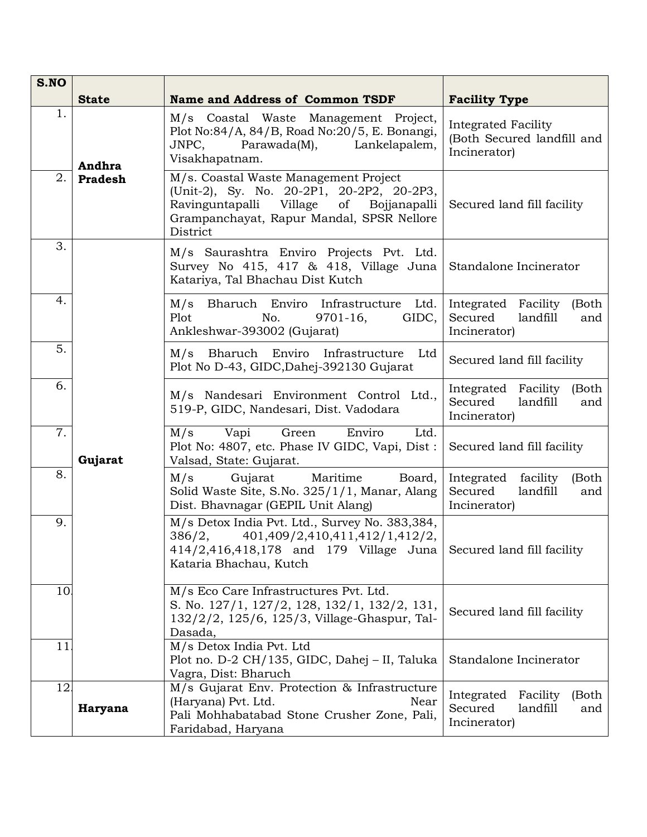| S.NO |                |                                                                                                                                                                                           |                                                                               |
|------|----------------|-------------------------------------------------------------------------------------------------------------------------------------------------------------------------------------------|-------------------------------------------------------------------------------|
|      | <b>State</b>   | <b>Name and Address of Common TSDF</b>                                                                                                                                                    | <b>Facility Type</b>                                                          |
| 1.   | Andhra         | M/s Coastal Waste Management Project,<br>Plot No:84/A, 84/B, Road No:20/5, E. Bonangi,<br>Parawada(M), Lankelapalem,<br>JNPC,<br>Visakhapatnam.                                           | Integrated Facility<br>(Both Secured landfill and<br>Incinerator)             |
| 2.   | <b>Pradesh</b> | M/s. Coastal Waste Management Project<br>(Unit-2), Sy. No. 20-2P1, 20-2P2, 20-2P3,<br>Ravinguntapalli Village<br>of Bojjanapalli<br>Grampanchayat, Rapur Mandal, SPSR Nellore<br>District | Secured land fill facility                                                    |
| 3.   |                | M/s Saurashtra Enviro Projects Pvt. Ltd.<br>Survey No 415, 417 & 418, Village Juna<br>Katariya, Tal Bhachau Dist Kutch                                                                    | Standalone Incinerator                                                        |
| 4.   |                | M/s Bharuch Enviro Infrastructure Ltd.<br>Plot<br>No.<br>$9701 - 16$ ,<br>GIDC,<br>Ankleshwar-393002 (Gujarat)                                                                            | Integrated Facility<br>(Both<br>Secured<br>landfill<br>and<br>Incinerator)    |
| 5.   |                | M/s Bharuch Enviro Infrastructure Ltd<br>Plot No D-43, GIDC, Dahej-392130 Gujarat                                                                                                         | Secured land fill facility                                                    |
| 6.   | Gujarat        | M/s Nandesari Environment Control Ltd.,<br>519-P, GIDC, Nandesari, Dist. Vadodara                                                                                                         | Integrated Facility (Both<br>Secured<br>landfill<br>and<br>Incinerator)       |
| 7.   |                | M/s<br>Vapi<br>Green<br>Enviro<br>Ltd.<br>Plot No: 4807, etc. Phase IV GIDC, Vapi, Dist:<br>Valsad, State: Gujarat.                                                                       | Secured land fill facility                                                    |
| 8.   |                | M/s<br>Gujarat<br>Maritime<br>Board,<br>Solid Waste Site, S.No. 325/1/1, Manar, Alang<br>Dist. Bhavnagar (GEPIL Unit Alang)                                                               | Integrated facility<br>(Both<br>Secured<br>landfill<br>and<br>Incinerator)    |
| 9.   |                | M/s Detox India Pvt. Ltd., Survey No. 383,384,<br>386/2, 401,409/2,410,411,412/1,412/2,<br>414/2,416,418,178 and 179 Village Juna<br>Kataria Bhachau, Kutch                               | Secured land fill facility                                                    |
| 10   |                | M/s Eco Care Infrastructures Pvt. Ltd.<br>S. No. 127/1, 127/2, 128, 132/1, 132/2, 131,<br>132/2/2, 125/6, 125/3, Village-Ghaspur, Tal-<br>Dasada,                                         | Secured land fill facility                                                    |
| 11   |                | M/s Detox India Pvt. Ltd<br>Plot no. D-2 CH/135, GIDC, Dahej - II, Taluka<br>Vagra, Dist: Bharuch                                                                                         | Standalone Incinerator                                                        |
| 12   | Haryana        | M/s Gujarat Env. Protection & Infrastructure<br>(Haryana) Pvt. Ltd.<br>Near<br>Pali Mohhabatabad Stone Crusher Zone, Pali,<br>Faridabad, Haryana                                          | Integrated<br>Facility<br>(Both<br>Secured<br>landfill<br>and<br>Incinerator) |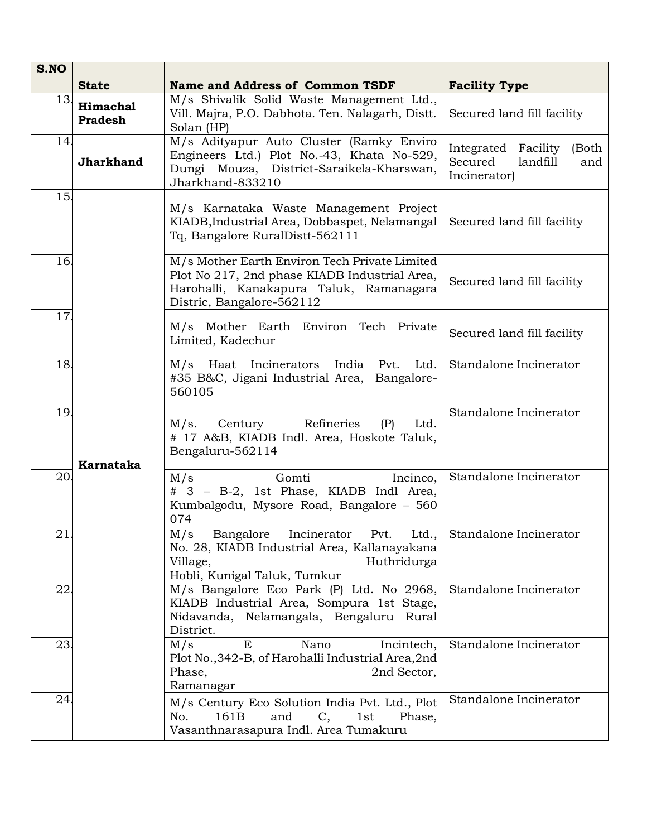| S.NO |                            |                                                                                                                                                                        |                                                                         |
|------|----------------------------|------------------------------------------------------------------------------------------------------------------------------------------------------------------------|-------------------------------------------------------------------------|
|      | <b>State</b>               | <b>Name and Address of Common TSDF</b>                                                                                                                                 | <b>Facility Type</b>                                                    |
| 13.  | Himachal<br><b>Pradesh</b> | M/s Shivalik Solid Waste Management Ltd.,<br>Vill. Majra, P.O. Dabhota. Ten. Nalagarh, Distt.<br>Solan (HP)                                                            | Secured land fill facility                                              |
| 14   | <b>Jharkhand</b>           | M/s Adityapur Auto Cluster (Ramky Enviro<br>Engineers Ltd.) Plot No.-43, Khata No-529,<br>Dungi Mouza, District-Saraikela-Kharswan,<br>Jharkhand-833210                | Integrated Facility (Both<br>Secured<br>landfill<br>and<br>Incinerator) |
| 15.  |                            | M/s Karnataka Waste Management Project<br>KIADB, Industrial Area, Dobbaspet, Nelamangal<br>Tq, Bangalore RuralDistt-562111                                             | Secured land fill facility                                              |
| 16   |                            | M/s Mother Earth Environ Tech Private Limited<br>Plot No 217, 2nd phase KIADB Industrial Area,<br>Harohalli, Kanakapura Taluk, Ramanagara<br>Distric, Bangalore-562112 | Secured land fill facility                                              |
| 17   |                            | M/s Mother Earth Environ Tech Private<br>Limited, Kadechur                                                                                                             | Secured land fill facility                                              |
| 18.  |                            | M/s Haat Incinerators India Pvt. Ltd.<br>#35 B&C, Jigani Industrial Area, Bangalore-<br>560105                                                                         | Standalone Incinerator                                                  |
| 19   | <b>Karnataka</b>           | M/s.<br>Century Refineries<br>(P)<br>Ltd.<br># 17 A&B, KIADB Indl. Area, Hoskote Taluk,<br>Bengaluru-562114                                                            | Standalone Incinerator                                                  |
| 20   |                            | Gomti<br>M/s<br>Incinco,<br># 3 - B-2, 1st Phase, KIADB Indl Area,<br>Kumbalgodu, Mysore Road, Bangalore - 560<br>074                                                  | Standalone Incinerator                                                  |
| 21   |                            | M/s Bangalore Incinerator Pvt. Ltd.,<br>No. 28, KIADB Industrial Area, Kallanayakana<br>Huthridurga<br>Village,<br>Hobli, Kunigal Taluk, Tumkur                        | Standalone Incinerator                                                  |
| 22   |                            | M/s Bangalore Eco Park (P) Ltd. No 2968,<br>KIADB Industrial Area, Sompura 1st Stage,<br>Nidavanda, Nelamangala, Bengaluru Rural<br>District.                          | Standalone Incinerator                                                  |
| 23.  |                            | E<br>Nano<br>M/s<br>Incintech,<br>Plot No., 342-B, of Harohalli Industrial Area, 2nd<br>Phase,<br>2nd Sector,<br>Ramanagar                                             | Standalone Incinerator                                                  |
| 24   |                            | M/s Century Eco Solution India Pvt. Ltd., Plot<br>and<br>No.<br>161 <sub>B</sub><br>1st<br>C,<br>Phase,<br>Vasanthnarasapura Indl. Area Tumakuru                       | Standalone Incinerator                                                  |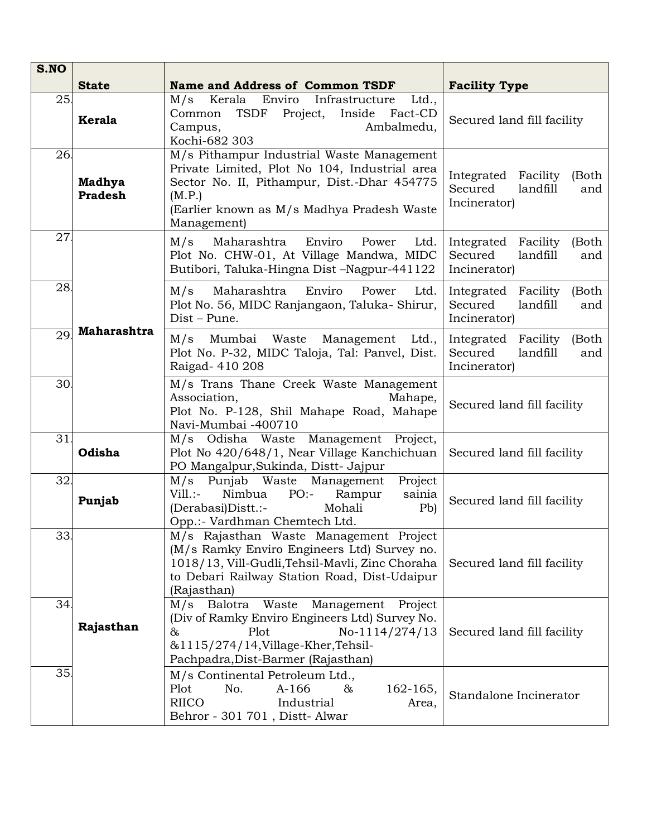| S.NO |                                 |                                                                                                                                                                                                                               |                                                                               |
|------|---------------------------------|-------------------------------------------------------------------------------------------------------------------------------------------------------------------------------------------------------------------------------|-------------------------------------------------------------------------------|
|      | <b>State</b>                    | <b>Name and Address of Common TSDF</b><br><b>Facility Type</b>                                                                                                                                                                |                                                                               |
| 25   | Kerala                          | M/s<br>Kerala<br>Enviro<br>Infrastructure<br>Ltd.,<br>TSDF<br>Project,<br>Fact-CD<br>Common<br>Inside<br>Campus,<br>Ambalmedu,<br>Kochi-682 303                                                                               | Secured land fill facility                                                    |
| 26   | <b>Madhya</b><br><b>Pradesh</b> | $\overline{M/s}$ Pithampur Industrial Waste Management<br>Private Limited, Plot No 104, Industrial area<br>Sector No. II, Pithampur, Dist.-Dhar 454775<br>(M.P.)<br>(Earlier known as M/s Madhya Pradesh Waste<br>Management) | Integrated Facility<br>(Both<br>Secured<br>landfill<br>and<br>Incinerator)    |
| 27   |                                 | M/s<br>Maharashtra<br>Enviro<br>Ltd.<br>Power<br>Plot No. CHW-01, At Village Mandwa, MIDC<br>Butibori, Taluka-Hingna Dist -Nagpur-441122                                                                                      | Integrated<br>Facility<br>(Both<br>Secured<br>landfill<br>and<br>Incinerator) |
| 28   | Maharashtra                     | Enviro<br>M/s<br>Maharashtra<br>Power<br>Ltd.<br>Plot No. 56, MIDC Ranjangaon, Taluka-Shirur,<br>Dist - Pune.                                                                                                                 | Facility<br>(Both<br>Integrated<br>Secured<br>landfill<br>and<br>Incinerator) |
| 29   |                                 | M/s Mumbai Waste Management Ltd.,<br>Plot No. P-32, MIDC Taloja, Tal: Panvel, Dist.<br>Raigad-410 208                                                                                                                         | Integrated Facility<br>(Both<br>Secured<br>landfill<br>and<br>Incinerator)    |
| 30   |                                 | M/s Trans Thane Creek Waste Management<br>Association,<br>Mahape,<br>Plot No. P-128, Shil Mahape Road, Mahape<br>Navi-Mumbai -400710                                                                                          | Secured land fill facility                                                    |
| 31   | Odisha                          | M/s Odisha Waste Management Project,<br>Plot No 420/648/1, Near Village Kanchichuan<br>PO Mangalpur, Sukinda, Distt- Jajpur                                                                                                   | Secured land fill facility                                                    |
| 32   | Punjab                          | M/s Punjab Waste Management<br>Project<br>$Vill.:-$<br>Nimbua<br>$PO:$ -<br>Rampur<br>sainia<br>(Derabasi) Distt.:-<br>Mohali<br>P <sub>b</sub><br>Opp.:- Vardhman Chemtech Ltd.                                              | Secured land fill facility                                                    |
| 33   |                                 | M/s Rajasthan Waste Management Project<br>(M/s Ramky Enviro Engineers Ltd) Survey no.<br>1018/13, Vill-Gudli, Tehsil-Mavli, Zinc Choraha<br>to Debari Railway Station Road, Dist-Udaipur<br>(Rajasthan)                       | Secured land fill facility                                                    |
| 34   | Rajasthan                       | Balotra Waste<br>Management Project<br>M/s<br>(Div of Ramky Enviro Engineers Ltd) Survey No.<br>Plot<br>$\&$<br>$No-1114/274/13$<br>&1115/274/14, Village-Kher, Tehsil-<br>Pachpadra, Dist-Barmer (Rajasthan)                 | Secured land fill facility                                                    |
| 35   |                                 | M/s Continental Petroleum Ltd.,<br>Plot<br>No.<br>$A-166$<br>162-165,<br>&<br><b>RIICO</b><br>Industrial<br>Area,<br>Behror - 301 701, Distt-Alwar                                                                            | Standalone Incinerator                                                        |